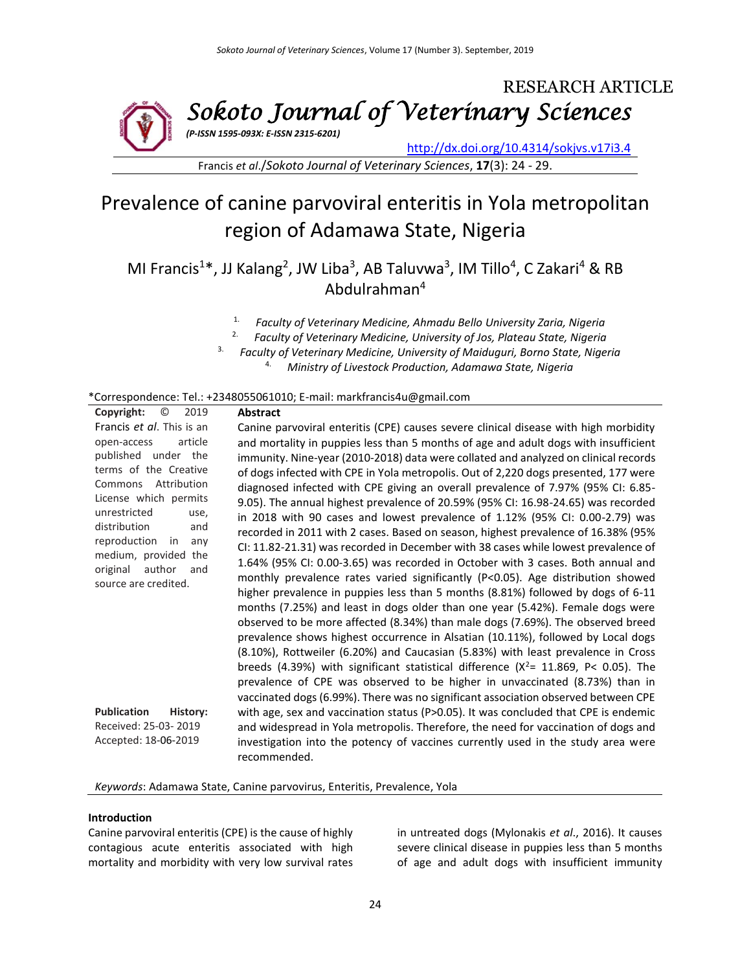

Francis *et al*./*Sokoto Journal of Veterinary Sciences*, **17**(3): 24 - 29.

# Prevalence of canine parvoviral enteritis in Yola metropolitan region of Adamawa State, Nigeria

MI Francis<sup>1\*</sup>, JJ Kalang<sup>2</sup>, JW Liba<sup>3</sup>, AB Taluvwa<sup>3</sup>, IM Tillo<sup>4</sup>, C Zakari<sup>4</sup> & RB Abdulrahman<sup>4</sup>

- 1. *Faculty of Veterinary Medicine, Ahmadu Bello University Zaria, Nigeria*
- 2. *Faculty of Veterinary Medicine, University of Jos, Plateau State, Nigeria*
- 3. *Faculty of Veterinary Medicine, University of Maiduguri, Borno State, Nigeria*
	- 4. *Ministry of Livestock Production, Adamawa State, Nigeria*

#### \*Correspondence: Tel.: +2348055061010; E-mail: markfrancis4u@gmail.com

| Copyright:<br>$\circledcirc$<br>2019    | <b>Abstract</b>                                                                        |  |  |  |  |
|-----------------------------------------|----------------------------------------------------------------------------------------|--|--|--|--|
| Francis et al. This is an               | Canine parvoviral enteritis (CPE) causes severe clinical disease with high morbidity   |  |  |  |  |
| open-access<br>article                  | and mortality in puppies less than 5 months of age and adult dogs with insufficient    |  |  |  |  |
| published under the                     | immunity. Nine-year (2010-2018) data were collated and analyzed on clinical records    |  |  |  |  |
| terms of the Creative                   | of dogs infected with CPE in Yola metropolis. Out of 2,220 dogs presented, 177 were    |  |  |  |  |
| Commons Attribution                     | diagnosed infected with CPE giving an overall prevalence of 7.97% (95% CI: 6.85-       |  |  |  |  |
| License which permits                   | 9.05). The annual highest prevalence of 20.59% (95% CI: 16.98-24.65) was recorded      |  |  |  |  |
| unrestricted<br>use,                    | in 2018 with 90 cases and lowest prevalence of 1.12% (95% CI: 0.00-2.79) was           |  |  |  |  |
| distribution<br>and                     | recorded in 2011 with 2 cases. Based on season, highest prevalence of 16.38% (95%      |  |  |  |  |
| reproduction<br>in<br>any               | CI: 11.82-21.31) was recorded in December with 38 cases while lowest prevalence of     |  |  |  |  |
| medium, provided<br>the<br>author       | 1.64% (95% CI: 0.00-3.65) was recorded in October with 3 cases. Both annual and        |  |  |  |  |
| original<br>and<br>source are credited. | monthly prevalence rates varied significantly (P<0.05). Age distribution showed        |  |  |  |  |
|                                         | higher prevalence in puppies less than 5 months (8.81%) followed by dogs of 6-11       |  |  |  |  |
|                                         | months (7.25%) and least in dogs older than one year (5.42%). Female dogs were         |  |  |  |  |
|                                         | observed to be more affected (8.34%) than male dogs (7.69%). The observed breed        |  |  |  |  |
|                                         | prevalence shows highest occurrence in Alsatian (10.11%), followed by Local dogs       |  |  |  |  |
|                                         | (8.10%), Rottweiler (6.20%) and Caucasian (5.83%) with least prevalence in Cross       |  |  |  |  |
|                                         | breeds (4.39%) with significant statistical difference ( $X^2$ = 11.869, P< 0.05). The |  |  |  |  |
|                                         | prevalence of CPE was observed to be higher in unvaccinated (8.73%) than in            |  |  |  |  |
|                                         | vaccinated dogs (6.99%). There was no significant association observed between CPE     |  |  |  |  |
| <b>Publication</b><br>History:          | with age, sex and vaccination status (P>0.05). It was concluded that CPE is endemic    |  |  |  |  |
| Received: 25-03-2019                    | and widespread in Yola metropolis. Therefore, the need for vaccination of dogs and     |  |  |  |  |
| Accepted: 18-06-2019                    | investigation into the potency of vaccines currently used in the study area were       |  |  |  |  |
|                                         | recommended.                                                                           |  |  |  |  |

*Keywords*: Adamawa State, Canine parvovirus, Enteritis, Prevalence, Yola

#### **Introduction**

Canine parvoviral enteritis (CPE) is the cause of highly contagious acute enteritis associated with high mortality and morbidity with very low survival rates in untreated dogs (Mylonakis *et al*., 2016). It causes severe clinical disease in puppies less than 5 months of age and adult dogs with insufficient immunity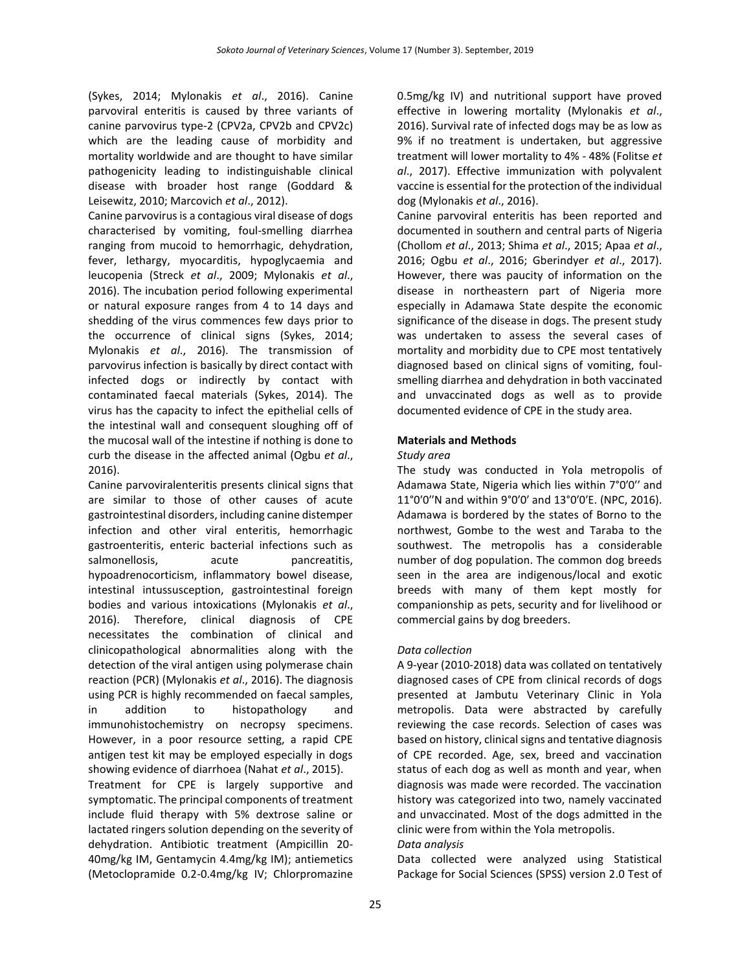(Sykes, 2014; Mylonakis *et al*., 2016). Canine parvoviral enteritis is caused by three variants of canine parvovirus type-2 (CPV2a, CPV2b and CPV2c) which are the leading cause of morbidity and mortality worldwide and are thought to have similar pathogenicity leading to indistinguishable clinical disease with broader host range (Goddard & Leisewitz, 2010; Marcovich *et al*., 2012).

Canine parvovirus is a contagious viral disease of dogs characterised by vomiting, foul-smelling diarrhea ranging from mucoid to hemorrhagic, dehydration, fever, lethargy, myocarditis, hypoglycaemia and leucopenia (Streck *et al*., 2009; Mylonakis *et al*., 2016). The incubation period following experimental or natural exposure ranges from 4 to 14 days and shedding of the virus commences few days prior to the occurrence of clinical signs (Sykes, 2014; Mylonakis *et al*., 2016). The transmission of parvovirus infection is basically by direct contact with infected dogs or indirectly by contact with contaminated faecal materials (Sykes, 2014). The virus has the capacity to infect the epithelial cells of the intestinal wall and consequent sloughing off of the mucosal wall of the intestine if nothing is done to curb the disease in the affected animal (Ogbu *et al*., 2016).

Canine parvoviralenteritis presents clinical signs that are similar to those of other causes of acute gastrointestinal disorders, including canine distemper infection and other viral enteritis, hemorrhagic gastroenteritis, enteric bacterial infections such as salmonellosis, acute pancreatitis, hypoadrenocorticism, inflammatory bowel disease, intestinal intussusception, gastrointestinal foreign bodies and various intoxications (Mylonakis *et al*., 2016). Therefore, clinical diagnosis of CPE necessitates the combination of clinical and clinicopathological abnormalities along with the detection of the viral antigen using polymerase chain reaction (PCR) (Mylonakis *et al*., 2016). The diagnosis using PCR is highly recommended on faecal samples, in addition to histopathology and immunohistochemistry on necropsy specimens. However, in a poor resource setting, a rapid CPE antigen test kit may be employed especially in dogs showing evidence of diarrhoea (Nahat *et al*., 2015).

Treatment for CPE is largely supportive and symptomatic. The principal components of treatment include fluid therapy with 5% dextrose saline or lactated ringers solution depending on the severity of dehydration. Antibiotic treatment (Ampicillin 20- 40mg/kg IM, Gentamycin 4.4mg/kg IM); antiemetics (Metoclopramide 0.2-0.4mg/kg IV; Chlorpromazine

0.5mg/kg IV) and nutritional support have proved effective in lowering mortality (Mylonakis *et al*., 2016). Survival rate of infected dogs may be as low as 9% if no treatment is undertaken, but aggressive treatment will lower mortality to 4% - 48% (Folitse *et al*., 2017). Effective immunization with polyvalent vaccine is essential for the protection of the individual dog (Mylonakis *et al*., 2016).

Canine parvoviral enteritis has been reported and documented in southern and central parts of Nigeria (Chollom *et al*., 2013; Shima *et al*., 2015; Apaa *et al*., 2016; Ogbu *et al*., 2016; Gberindyer *et al*., 2017). However, there was paucity of information on the disease in northeastern part of Nigeria more especially in Adamawa State despite the economic significance of the disease in dogs. The present study was undertaken to assess the several cases of mortality and morbidity due to CPE most tentatively diagnosed based on clinical signs of vomiting, foulsmelling diarrhea and dehydration in both vaccinated and unvaccinated dogs as well as to provide documented evidence of CPE in the study area.

## **Materials and Methods**

## *Study area*

The study was conducted in Yola metropolis of Adamawa State, Nigeria which lies within 7°0′0′′ and 11°0′0′′N and within 9°0′0′ and 13°0′0′E. (NPC, 2016). Adamawa is bordered by the states of Borno to the northwest, Gombe to the west and Taraba to the southwest. The metropolis has a considerable number of dog population. The common dog breeds seen in the area are indigenous/local and exotic breeds with many of them kept mostly for companionship as pets, security and for livelihood or commercial gains by dog breeders.

## *Data collection*

A 9-year (2010-2018) data was collated on tentatively diagnosed cases of CPE from clinical records of dogs presented at Jambutu Veterinary Clinic in Yola metropolis. Data were abstracted by carefully reviewing the case records. Selection of cases was based on history, clinical signs and tentative diagnosis of CPE recorded. Age, sex, breed and vaccination status of each dog as well as month and year, when diagnosis was made were recorded. The vaccination history was categorized into two, namely vaccinated and unvaccinated. Most of the dogs admitted in the clinic were from within the Yola metropolis.

## *Data analysis*

Data collected were analyzed using Statistical Package for Social Sciences (SPSS) version 2.0 Test of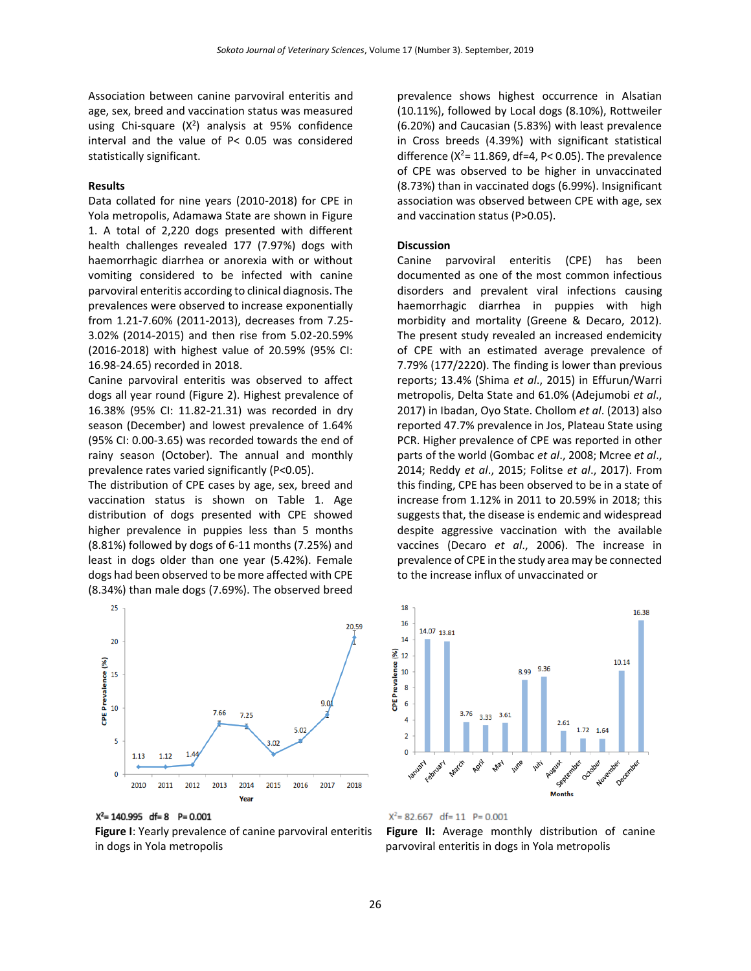Association between canine parvoviral enteritis and age, sex, breed and vaccination status was measured using Chi-square  $(X^2)$  analysis at 95% confidence interval and the value of P< 0.05 was considered statistically significant.

#### **Results**

Data collated for nine years (2010-2018) for CPE in Yola metropolis, Adamawa State are shown in Figure 1. A total of 2,220 dogs presented with different health challenges revealed 177 (7.97%) dogs with haemorrhagic diarrhea or anorexia with or without vomiting considered to be infected with canine parvoviral enteritis according to clinical diagnosis. The prevalences were observed to increase exponentially from 1.21-7.60% (2011-2013), decreases from 7.25- 3.02% (2014-2015) and then rise from 5.02-20.59% (2016-2018) with highest value of 20.59% (95% CI: 16.98-24.65) recorded in 2018.

Canine parvoviral enteritis was observed to affect dogs all year round (Figure 2). Highest prevalence of 16.38% (95% CI: 11.82-21.31) was recorded in dry season (December) and lowest prevalence of 1.64% (95% CI: 0.00-3.65) was recorded towards the end of rainy season (October). The annual and monthly prevalence rates varied significantly (P<0.05).

The distribution of CPE cases by age, sex, breed and vaccination status is shown on Table 1. Age distribution of dogs presented with CPE showed higher prevalence in puppies less than 5 months (8.81%) followed by dogs of 6-11 months (7.25%) and least in dogs older than one year (5.42%). Female dogs had been observed to be more affected with CPE (8.34%) than male dogs (7.69%). The observed breed



 $X^2$  = 140.995 df = 8 P = 0.001

**Figure I**: Yearly prevalence of canine parvoviral enteritis in dogs in Yola metropolis

prevalence shows highest occurrence in Alsatian (10.11%), followed by Local dogs (8.10%), Rottweiler (6.20%) and Caucasian (5.83%) with least prevalence in Cross breeds (4.39%) with significant statistical difference ( $X^2$ = 11.869, df=4, P< 0.05). The prevalence of CPE was observed to be higher in unvaccinated (8.73%) than in vaccinated dogs (6.99%). Insignificant association was observed between CPE with age, sex and vaccination status (P>0.05).

#### **Discussion**

Canine parvoviral enteritis (CPE) has been documented as one of the most common infectious disorders and prevalent viral infections causing haemorrhagic diarrhea in puppies with high morbidity and mortality (Greene & Decaro, 2012). The present study revealed an increased endemicity of CPE with an estimated average prevalence of 7.79% (177/2220). The finding is lower than previous reports; 13.4% (Shima *et al*., 2015) in Effurun/Warri metropolis, Delta State and 61.0% (Adejumobi *et al*., 2017) in Ibadan, Oyo State. Chollom *et al*. (2013) also reported 47.7% prevalence in Jos, Plateau State using PCR. Higher prevalence of CPE was reported in other parts of the world (Gombac *et al*., 2008; Mcree *et al*., 2014; Reddy *et al*., 2015; Folitse *et al*., 2017). From this finding, CPE has been observed to be in a state of increase from 1.12% in 2011 to 20.59% in 2018; this suggests that, the disease is endemic and widespread despite aggressive vaccination with the available vaccines (Decaro *et al*., 2006). The increase in prevalence of CPE in the study area may be connected to the increase influx of unvaccinated or





**Figure II:** Average monthly distribution of canine parvoviral enteritis in dogs in Yola metropolis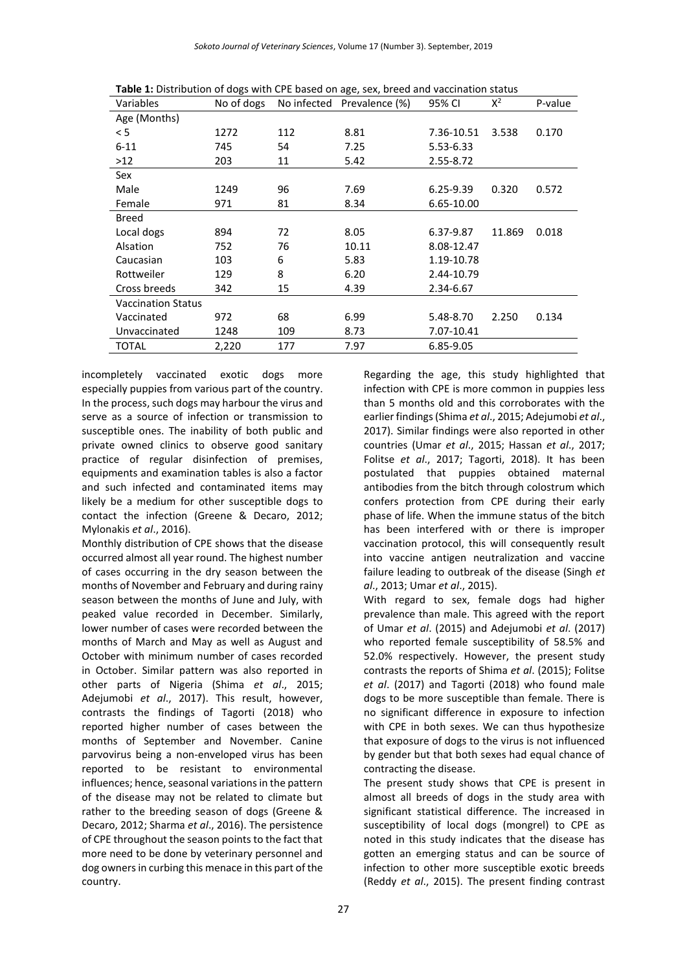| Variables                 | No of dogs | No infected | Prevalence (%) | 95% CI        | $X^2$  | P-value |
|---------------------------|------------|-------------|----------------|---------------|--------|---------|
|                           |            |             |                |               |        |         |
| Age (Months)              |            |             |                |               |        |         |
| < 5                       | 1272       | 112         | 8.81           | 7.36-10.51    | 3.538  | 0.170   |
| $6 - 11$                  | 745        | 54          | 7.25           | 5.53-6.33     |        |         |
| >12                       | 203        | 11          | 5.42           | 2.55-8.72     |        |         |
| Sex                       |            |             |                |               |        |         |
| Male                      | 1249       | 96          | 7.69           | $6.25 - 9.39$ | 0.320  | 0.572   |
| Female                    | 971        | 81          | 8.34           | 6.65-10.00    |        |         |
| <b>Breed</b>              |            |             |                |               |        |         |
| Local dogs                | 894        | 72          | 8.05           | 6.37-9.87     | 11.869 | 0.018   |
| Alsation                  | 752        | 76          | 10.11          | 8.08-12.47    |        |         |
| Caucasian                 | 103        | 6           | 5.83           | 1.19-10.78    |        |         |
| Rottweiler                | 129        | 8           | 6.20           | 2.44-10.79    |        |         |
| Cross breeds              | 342        | 15          | 4.39           | 2.34-6.67     |        |         |
| <b>Vaccination Status</b> |            |             |                |               |        |         |
| Vaccinated                | 972        | 68          | 6.99           | 5.48-8.70     | 2.250  | 0.134   |
| Unvaccinated              | 1248       | 109         | 8.73           | 7.07-10.41    |        |         |
| TOTAL                     | 2,220      | 177         | 7.97           | 6.85-9.05     |        |         |

**Table 1:** Distribution of dogs with CPE based on age, sex, breed and vaccination status

incompletely vaccinated exotic dogs more especially puppies from various part of the country. In the process, such dogs may harbour the virus and serve as a source of infection or transmission to susceptible ones. The inability of both public and private owned clinics to observe good sanitary practice of regular disinfection of premises, equipments and examination tables is also a factor and such infected and contaminated items may likely be a medium for other susceptible dogs to contact the infection (Greene & Decaro, 2012; Mylonakis *et al*., 2016).

Monthly distribution of CPE shows that the disease occurred almost all year round. The highest number of cases occurring in the dry season between the months of November and February and during rainy season between the months of June and July, with peaked value recorded in December. Similarly, lower number of cases were recorded between the months of March and May as well as August and October with minimum number of cases recorded in October. Similar pattern was also reported in other parts of Nigeria (Shima *et al*., 2015; Adejumobi *et al*., 2017). This result, however, contrasts the findings of Tagorti (2018) who reported higher number of cases between the months of September and November. Canine parvovirus being a non-enveloped virus has been reported to be resistant to environmental influences; hence, seasonal variations in the pattern of the disease may not be related to climate but rather to the breeding season of dogs (Greene & Decaro, 2012; Sharma *et al*., 2016). The persistence of CPE throughout the season points to the fact that more need to be done by veterinary personnel and dog owners in curbing this menace in this part of the country.

Regarding the age, this study highlighted that infection with CPE is more common in puppies less than 5 months old and this corroborates with the earlier findings (Shima *et al*., 2015; Adejumobi *et al*., 2017). Similar findings were also reported in other countries (Umar *et al*., 2015; Hassan *et al*., 2017; Folitse *et al*., 2017; Tagorti, 2018). It has been postulated that puppies obtained maternal antibodies from the bitch through colostrum which confers protection from CPE during their early phase of life. When the immune status of the bitch has been interfered with or there is improper vaccination protocol, this will consequently result into vaccine antigen neutralization and vaccine failure leading to outbreak of the disease (Singh *et al*., 2013; Umar *et al*., 2015).

With regard to sex, female dogs had higher prevalence than male. This agreed with the report of Umar *et al*. (2015) and Adejumobi *et al*. (2017) who reported female susceptibility of 58.5% and 52.0% respectively. However, the present study contrasts the reports of Shima *et al*. (2015); Folitse *et al*. (2017) and Tagorti (2018) who found male dogs to be more susceptible than female. There is no significant difference in exposure to infection with CPE in both sexes. We can thus hypothesize that exposure of dogs to the virus is not influenced by gender but that both sexes had equal chance of contracting the disease.

The present study shows that CPE is present in almost all breeds of dogs in the study area with significant statistical difference. The increased in susceptibility of local dogs (mongrel) to CPE as noted in this study indicates that the disease has gotten an emerging status and can be source of infection to other more susceptible exotic breeds (Reddy *et al*., 2015). The present finding contrast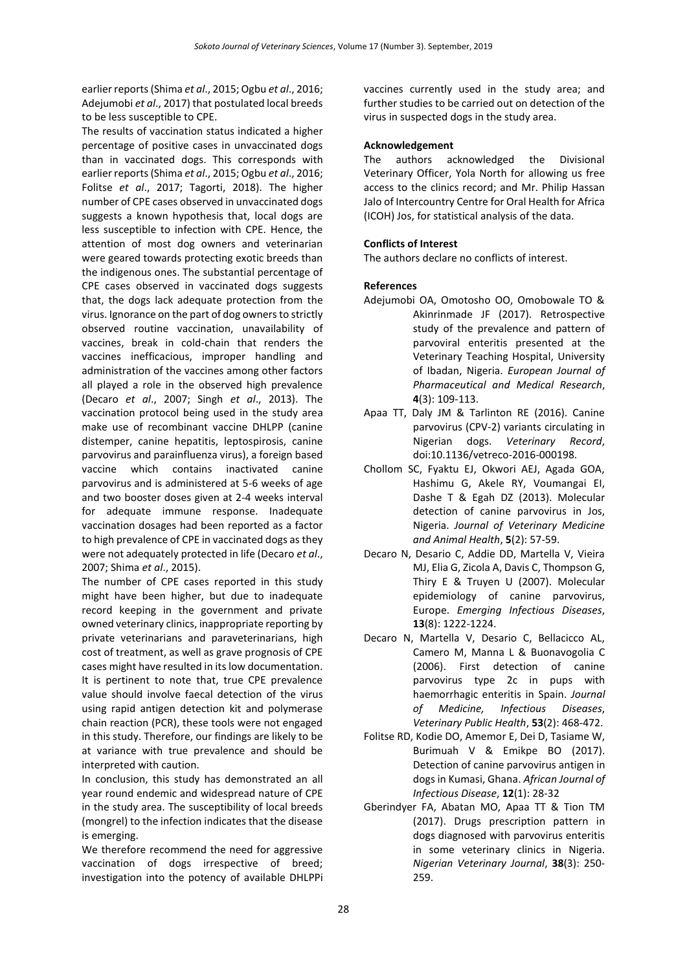earlier reports (Shima *et al*., 2015; Ogbu *et al*., 2016; Adejumobi *et al*., 2017) that postulated local breeds to be less susceptible to CPE.

The results of vaccination status indicated a higher percentage of positive cases in unvaccinated dogs than in vaccinated dogs. This corresponds with earlier reports (Shima *et al*., 2015; Ogbu *et al*., 2016; Folitse *et al*., 2017; Tagorti, 2018). The higher number of CPE cases observed in unvaccinated dogs suggests a known hypothesis that, local dogs are less susceptible to infection with CPE. Hence, the attention of most dog owners and veterinarian were geared towards protecting exotic breeds than the indigenous ones. The substantial percentage of CPE cases observed in vaccinated dogs suggests that, the dogs lack adequate protection from the virus. Ignorance on the part of dog owners to strictly observed routine vaccination, unavailability of vaccines, break in cold-chain that renders the vaccines inefficacious, improper handling and administration of the vaccines among other factors all played a role in the observed high prevalence (Decaro *et al*., 2007; Singh *et al*., 2013). The vaccination protocol being used in the study area make use of recombinant vaccine DHLPP (canine distemper, canine hepatitis, leptospirosis, canine parvovirus and parainfluenza virus), a foreign based vaccine which contains inactivated canine parvovirus and is administered at 5-6 weeks of age and two booster doses given at 2-4 weeks interval for adequate immune response. Inadequate vaccination dosages had been reported as a factor to high prevalence of CPE in vaccinated dogs as they were not adequately protected in life (Decaro *et al*., 2007; Shima *et al*., 2015).

The number of CPE cases reported in this study might have been higher, but due to inadequate record keeping in the government and private owned veterinary clinics, inappropriate reporting by private veterinarians and paraveterinarians, high cost of treatment, as well as grave prognosis of CPE cases might have resulted in its low documentation. It is pertinent to note that, true CPE prevalence value should involve faecal detection of the virus using rapid antigen detection kit and polymerase chain reaction (PCR), these tools were not engaged in this study. Therefore, our findings are likely to be at variance with true prevalence and should be interpreted with caution.

In conclusion, this study has demonstrated an all year round endemic and widespread nature of CPE in the study area. The susceptibility of local breeds (mongrel) to the infection indicates that the disease is emerging.

We therefore recommend the need for aggressive vaccination of dogs irrespective of breed; investigation into the potency of available DHLPPi vaccines currently used in the study area; and further studies to be carried out on detection of the virus in suspected dogs in the study area.

# **Acknowledgement**

The authors acknowledged the Divisional Veterinary Officer, Yola North for allowing us free access to the clinics record; and Mr. Philip Hassan Jalo of Intercountry Centre for Oral Health for Africa (ICOH) Jos, for statistical analysis of the data.

# **Conflicts of Interest**

The authors declare no conflicts of interest.

## **References**

- Adejumobi OA, Omotosho OO, Omobowale TO & Akinrinmade JF (2017). Retrospective study of the prevalence and pattern of parvoviral enteritis presented at the Veterinary Teaching Hospital, University of Ibadan, Nigeria. *European Journal of Pharmaceutical and Medical Research*, **4**(3): 109-113.
- Apaa TT, Daly JM & Tarlinton RE (2016). Canine parvovirus (CPV-2) variants circulating in Nigerian dogs. *Veterinary Record*, doi:10.1136/vetreco-2016-000198.
- Chollom SC, Fyaktu EJ, Okwori AEJ, Agada GOA, Hashimu G, Akele RY, Voumangai EI, Dashe T & Egah DZ (2013). Molecular detection of canine parvovirus in Jos, Nigeria. *Journal of Veterinary Medicine and Animal Health*, **5**(2): 57-59.
- Decaro N, Desario C, Addie DD, Martella V, Vieira MJ, Elia G, Zicola A, Davis C, Thompson G, Thiry E & Truyen U (2007). Molecular epidemiology of canine parvovirus, Europe. *Emerging Infectious Diseases*, **13**(8): 1222-1224.
- Decaro N, Martella V, Desario C, Bellacicco AL, Camero M, Manna L & Buonavogolia C (2006). First detection of canine parvovirus type 2c in pups with haemorrhagic enteritis in Spain. *Journal of Medicine, Infectious Diseases*, *Veterinary Public Health*, **53**(2): 468-472.
- Folitse RD, Kodie DO, Amemor E, Dei D, Tasiame W, Burimuah V & Emikpe BO (2017). Detection of canine parvovirus antigen in dogs in Kumasi, Ghana. *African Journal of Infectious Disease*, **12**(1): 28-32
- Gberindyer FA, Abatan MO, Apaa TT & Tion TM (2017). Drugs prescription pattern in dogs diagnosed with parvovirus enteritis in some veterinary clinics in Nigeria. *Nigerian Veterinary Journal*, **38**(3): 250- 259.